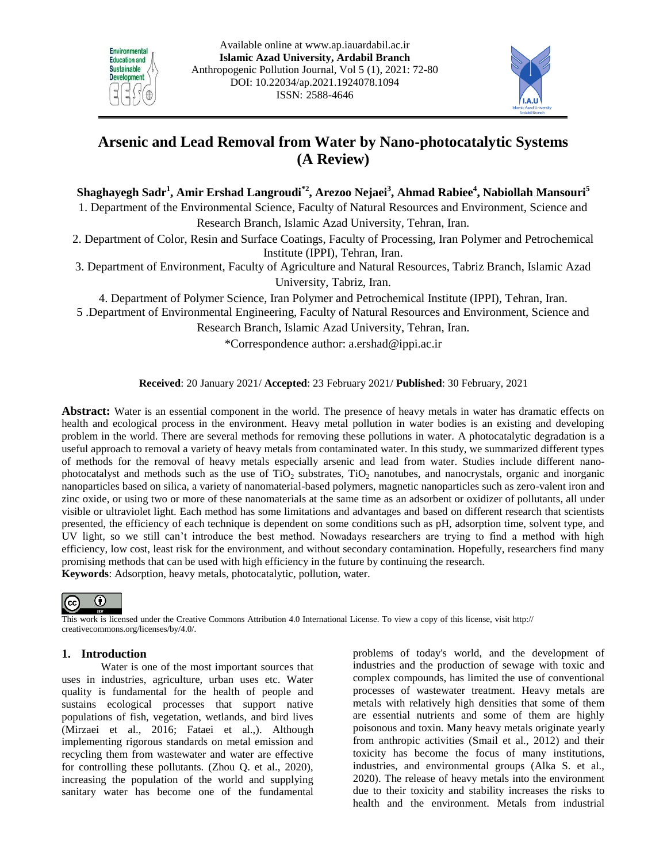



# **Arsenic and Lead Removal from Water by Nano-photocatalytic Systems (A Review)**

 $\boldsymbol{\mathrm{Shag}}$ hayegh  $\boldsymbol{\mathrm{Sadr}}^1$ , Amir Ershad Langroudi $^{\ast 2}$ , Arezoo Nejaei $^3$ , Ahmad Rabiee $^4$ , Nabiollah Mansouri $^5$ 

1. Department of the Environmental Science, Faculty of Natural Resources and Environment, Science and Research Branch, Islamic Azad University, Tehran, Iran.

2. Department of Color, Resin and Surface Coatings, Faculty of Processing, Iran Polymer and Petrochemical Institute (IPPI), Tehran, Iran.

3. Department of Environment, Faculty of Agriculture and Natural Resources, Tabriz Branch, Islamic Azad University, Tabriz, Iran.

4. Department of Polymer Science, Iran Polymer and Petrochemical Institute (IPPI), Tehran, Iran.

5 .Department of Environmental Engineering, Faculty of Natural Resources and Environment, Science and

Research Branch, Islamic Azad University, Tehran, Iran.

\*Correspondence author: [a.ershad@ippi.ac.ir](mailto:a.ershad@ippi.ac.ir)

**Received**: 20 January 2021/ **Accepted**: 23 February 2021/ **Published**: 30 February, 2021

**Abstract:** Water is an essential component in the world. The presence of heavy metals in water has dramatic effects on health and ecological process in the environment. Heavy metal pollution in water bodies is an existing and developing problem in the world. There are several methods for removing these pollutions in water. A photocatalytic degradation is a useful approach to removal a variety of heavy metals from contaminated water. In this study, we summarized different types of methods for the removal of heavy metals especially arsenic and lead from water. Studies include different nanophotocatalyst and methods such as the use of  $TiO<sub>2</sub>$  substrates,  $TiO<sub>2</sub>$  nanotubes, and nanocrystals, organic and inorganic nanoparticles based on silica, a variety of nanomaterial-based polymers, magnetic nanoparticles such as zero-valent iron and zinc oxide, or using two or more of these nanomaterials at the same time as an adsorbent or oxidizer of pollutants, all under visible or ultraviolet light. Each method has some limitations and advantages and based on different research that scientists presented, the efficiency of each technique is dependent on some conditions such as pH, adsorption time, solvent type, and UV light, so we still can't introduce the best method. Nowadays researchers are trying to find a method with high efficiency, low cost, least risk for the environment, and without secondary contamination. Hopefully, researchers find many promising methods that can be used with high efficiency in the future by continuing the research. **Keywords**: Adsorption, heavy metals, photocatalytic, pollution, water.



This work is licensed under the Creative Commons Attribution 4.0 International License. To view a copy of this license, visit http:// creativecommons.org/licenses/by/4.0/.

### **1. Introduction**

Water is one of the most important sources that uses in industries, agriculture, urban uses etc. Water quality is fundamental for the health of people and sustains ecological processes that support native populations of fish, vegetation, wetlands, and bird lives (Mirzaei et al., 2016; Fataei et al.,). Although implementing rigorous standards on metal emission and recycling them from wastewater and water are effective for controlling these pollutants. (Zhou Q. et al., 2020), increasing the population of the world and supplying sanitary water has become one of the fundamental problems of today's world, and the development of industries and the production of sewage with toxic and complex compounds, has limited the use of conventional processes of wastewater treatment. Heavy metals are [metals](https://en.wikipedia.org/wiki/Metal) with relatively high [densities](https://en.wikipedia.org/wiki/Density) that some of them are essential nutrients and some of them are highly poisonous and toxin. Many heavy metals originate yearly from anthropic activities (Smail et al., 2012) and their toxicity has become the focus of many institutions, industries, and environmental groups (Alka S. et al., 2020). The release of heavy metals into the environment due to their toxicity and stability increases the risks to health and the environment. Metals from industrial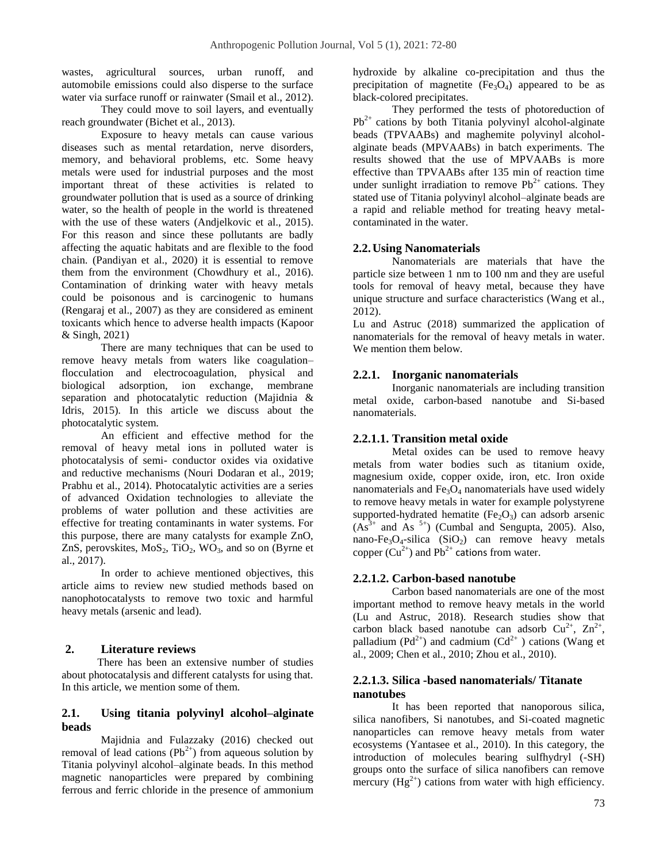wastes, agricultural sources, urban runoff, and automobile emissions could also disperse to the surface water via surface runoff or rainwater (Smail et al., 2012).

They could move to soil layers, and eventually reach groundwater (Bichet et al., 2013).

Exposure to heavy metals can cause various diseases such as mental retardation, nerve disorders, memory, and behavioral problems, etc. Some heavy metals were used for industrial purposes and the most important threat of these activities is related to groundwater pollution that is used as a source of drinking water, so the health of people in the world is threatened with the use of these waters (Andjelkovic et al., 2015). For this reason and since these pollutants are badly affecting the aquatic habitats and are flexible to the food chain. (Pandiyan et al., 2020) it is essential to remove them from the environment [\(Chowdhury](https://www.sciencedirect.com/science/article/pii/S0048969716313407#!) et al., 2016). Contamination of drinking water with heavy metals could be poisonous and is carcinogenic to humans (Rengaraj et al., 2007) as they are considered as eminent toxicants which hence to adverse health impacts (Kapoor & Singh, 2021)

There are many techniques that can be used to remove heavy metals from waters like coagulation– flocculation and electrocoagulation, physical and biological adsorption, ion exchange, membrane separation and photocatalytic reduction (Majidnia & Idris, 2015). In this article we discuss about the photocatalytic system.

An efficient and effective method for the removal of heavy metal ions in polluted water is photocatalysis of semi- conductor oxides via oxidative and reductive mechanisms (Nouri Dodaran et al., 2019; Prabhu et al., 2014). Photocatalytic activities are a series of advanced Oxidation technologies to alleviate the problems of water pollution and these activities are effective for treating contaminants in water systems. For this purpose, there are many catalysts for example ZnO, ZnS, perovskites,  $MoS_2$ ,  $TiO_2$ ,  $WO_3$ , and so on (Byrne et al., 2017).

In order to achieve mentioned objectives, this article aims to review new studied methods based on nanophotocatalysts to remove two toxic and harmful heavy metals (arsenic and lead).

### **2. Literature reviews**

There has been an extensive number of studies about photocatalysis and different catalysts for using that. In this article, we mention some of them.

# **2.1. Using titania polyvinyl alcohol–alginate beads**

Majidnia and Fulazzaky (2016) checked out removal of lead cations  $(Pb^{2+})$  from aqueous solution by Titania polyvinyl alcohol–alginate beads. In this method magnetic nanoparticles were prepared by combining ferrous and ferric chloride in the presence of ammonium hydroxide by alkaline co-precipitation and thus the precipitation of magnetite  $(Fe_3O_4)$  appeared to be as black-colored precipitates.

They performed the tests of photoreduction of  $Pb^{2+}$  cations by both Titania polyvinyl alcohol-alginate beads (TPVAABs) and maghemite polyvinyl alcoholalginate beads (MPVAABs) in batch experiments. The results showed that the use of MPVAABs is more effective than TPVAABs after 135 min of reaction time under sunlight irradiation to remove  $Pb^{2+}$  cations. They stated use of Titania polyvinyl alcohol–alginate beads are a rapid and reliable method for treating heavy metalcontaminated in the water.

# **2.2.Using Nanomaterials**

Nanomaterials are materials that have the particle size between 1 nm to 100 nm and they are useful tools for removal of heavy metal, because they have unique structure and surface characteristics (Wang et al., 2012).

Lu and Astruc (2018) summarized the application of nanomaterials for the removal of heavy metals in water. We mention them below.

# **2.2.1. Inorganic nanomaterials**

Inorganic nanomaterials are including transition metal oxide, carbon-based nanotube and Si-based nanomaterials.

# **2.2.1.1. Transition metal oxide**

Metal oxides can be used to remove heavy metals from water bodies such as titanium oxide, magnesium oxide, copper oxide, iron, etc. Iron oxide nanomaterials and  $Fe<sub>3</sub>O<sub>4</sub>$  nanomaterials have used widely to remove heavy metals in water for example polystyrene supported-hydrated hematite  $(Fe<sub>2</sub>O<sub>3</sub>)$  can adsorb arsenic  $(As^{3+}$  and As  $^{5+}$ ) (Cumbal and Sengupta, 2005). Also, nano-Fe<sub>3</sub>O<sub>4</sub>-silica (SiO<sub>2</sub>) can remove heavy metals copper  $(Cu^{2+})$  and Pb<sup>2+</sup> cations from water.

### **2.2.1.2. Carbon-based nanotube**

Carbon based nanomaterials are one of the most important method to remove heavy metals in the world (Lu and Astruc, 2018). Research studies show that carbon black based nanotube can adsorb  $Cu^{2+}$ ,  $Zn^{2+}$ , palladium ( $Pd^{2+}$ ) and cadmium ( $Cd^{2+}$ ) cations (Wang et al., 2009; Chen et al., 2010; Zhou et al., 2010).

### **2.2.1.3. Silica -based nanomaterials/ Titanate nanotubes**

It has been reported that nanoporous silica, silica nanofibers, Si nanotubes, and Si-coated magnetic nanoparticles can remove heavy metals from water ecosystems (Yantasee et al., 2010). In this category, the introduction of molecules bearing sulfhydryl (-SH) groups onto the surface of silica nanofibers can remove mercury  $(Hg^{2+})$  cations from water with high efficiency.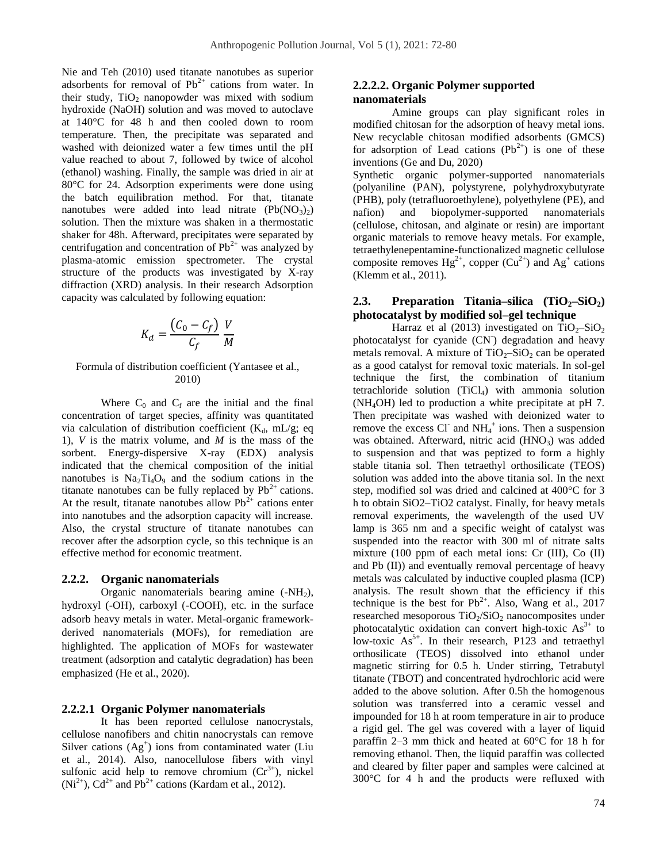Nie and Teh (2010) used titanate nanotubes as superior adsorbents for removal of  $Pb^{2+}$  cations from water. In their study,  $TiO<sub>2</sub>$  nanopowder was mixed with sodium hydroxide (NaOH) solution and was moved to autoclave at 140°C for 48 h and then cooled down to room temperature. Then, the precipitate was separated and washed with deionized water a few times until the pH value reached to about 7, followed by twice of alcohol (ethanol) washing. Finally, the sample was dried in air at 80°C for 24. Adsorption experiments were done using the batch equilibration method. For that, titanate nanotubes were added into lead nitrate  $(Pb(NO_3)_2)$ solution. Then the mixture was shaken in a thermostatic shaker for 48h. Afterward, precipitates were separated by centrifugation and concentration of  $Pb^{2+}$  was analyzed by plasma-atomic emission spectrometer. The crystal structure of the products was investigated by X-ray diffraction (XRD) analysis. In their research Adsorption capacity was calculated by following equation:

$$
K_d = \frac{(C_0 - C_f)}{C_f} \frac{V}{M}
$$

#### Formula of distribution coefficient (Yantasee et al., 2010)

Where  $C_0$  and  $C_f$  are the initial and the final concentration of target species, affinity was quantitated via calculation of distribution coefficient  $(K_d, mL/g; eq)$ 1), *V* is the matrix volume, and *M* is the mass of the sorbent. Energy-dispersive X-ray (EDX) analysis indicated that the chemical composition of the initial nanotubes is  $Na<sub>2</sub>Ti<sub>4</sub>O<sub>9</sub>$  and the sodium cations in the titanate nanotubes can be fully replaced by  $Pb^{2+}$  cations. At the result, titanate nanotubes allow  $Pb^{2+}$  cations enter into nanotubes and the adsorption capacity will increase. Also, the crystal structure of titanate nanotubes can recover after the adsorption cycle, so this technique is an effective method for economic treatment.

#### **2.2.2. Organic nanomaterials**

Organic nanomaterials bearing amine  $(-NH<sub>2</sub>)$ , hydroxyl (-OH), carboxyl (-COOH), etc. in the surface adsorb heavy metals in water. Metal-organic frameworkderived nanomaterials (MOFs), for remediation are highlighted. The application of MOFs for wastewater treatment (adsorption and catalytic degradation) has been emphasized (He et al., 2020).

#### **2.2.2.1 Organic Polymer nanomaterials**

It has been reported cellulose nanocrystals, cellulose nanofibers and chitin nanocrystals can remove Silver cations  $(Ag^+)$  ions from contaminated water (Liu et al., 2014). Also, nanocellulose fibers with vinyl sulfonic acid help to remove chromium  $(Cr^{3+})$ , nickel  $(Ni^{2+})$ , Cd<sup>2+</sup> and Pb<sup>2+</sup> cations (Kardam et al., 2012).

# **2.2.2.2. Organic Polymer supported nanomaterials**

Amine groups can play significant roles in modified chitosan for the adsorption of heavy metal ions. New recyclable chitosan modified adsorbents (GMCS) for adsorption of Lead cations  $(Pb^{2+})$  is one of these inventions (Ge and Du, 2020)

Synthetic organic polymer-supported nanomaterials (polyaniline (PAN), polystyrene, polyhydroxybutyrate (PHB), poly (tetrafluoroethylene), polyethylene (PE), and nafion) and biopolymer-supported nanomaterials (cellulose, chitosan, and alginate or resin) are important organic materials to remove heavy metals. For example, tetraethylenepentamine-functionalized magnetic cellulose composite removes  $Hg^{2+}$ , copper  $(Cu^{2+})$  and  $Ag^+$  cations (Klemm et al., 2011).

# **2.3. Preparation Titania–silica (TiO2–SiO2) photocatalyst by modified sol–gel technique**

Harraz et al (2013) investigated on  $TiO<sub>2</sub>–SiO<sub>2</sub>$ photocatalyst for cyanide (CN<sup>-</sup>) degradation and heavy metals removal. A mixture of  $TiO<sub>2</sub>-SiO<sub>2</sub>$  can be operated as a good catalyst for removal toxic materials. In sol-gel technique the first, the combination of titanium tetrachloride solution  $(TiCl<sub>4</sub>)$  with ammonia solution (NH4OH) led to production a white precipitate at pH 7. Then precipitate was washed with deionized water to remove the excess Cl<sup>-</sup> and  $NH_4^+$  ions. Then a suspension was obtained. Afterward, nitric acid  $(HNO<sub>3</sub>)$  was added to suspension and that was peptized to form a highly stable titania sol. Then tetraethyl orthosilicate (TEOS) solution was added into the above titania sol. In the next step, modified sol was dried and calcined at 400°C for 3 h to obtain SiO2–TiO2 catalyst. Finally, for heavy metals removal experiments, the wavelength of the used UV lamp is 365 nm and a specific weight of catalyst was suspended into the reactor with 300 ml of nitrate salts mixture (100 ppm of each metal ions: Cr (III), Co (II) and Pb (II)) and eventually removal percentage of heavy metals was calculated by inductive coupled plasma (ICP) analysis. The result shown that the efficiency if this technique is the best for  $Pb^{2+}$ . Also, Wang et al., 2017 researched mesoporous  $TiO<sub>2</sub>/SiO<sub>2</sub>$  nanocomposites under photocatalytic oxidation can convert high-toxic  $As<sup>3+</sup>$  to low-toxic  $As<sup>5+</sup>$ . In their research, P123 and tetraethyl orthosilicate (TEOS) dissolved into ethanol under magnetic stirring for 0.5 h. Under stirring, Tetrabutyl titanate (TBOT) and concentrated hydrochloric acid were added to the above solution. After 0.5h the homogenous solution was transferred into a ceramic vessel and impounded for 18 h at room temperature in air to produce a rigid gel. The gel was covered with a layer of liquid paraffin 2–3 mm thick and heated at 60°C for 18 h for removing ethanol. Then, the liquid paraffin was collected and cleared by filter paper and samples were calcined at 300°C for 4 h and the products were refluxed with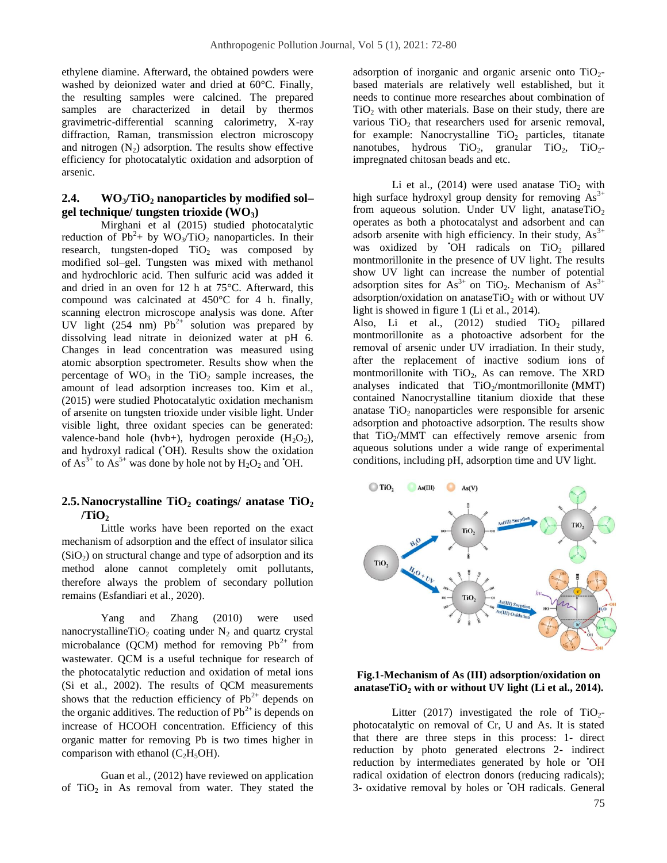ethylene diamine. Afterward, the obtained powders were washed by deionized water and dried at 60°C. Finally, the resulting samples were calcined. The prepared samples are characterized in detail by thermos gravimetric-differential scanning calorimetry, X-ray diffraction, Raman, transmission electron microscopy and nitrogen  $(N_2)$  adsorption. The results show effective efficiency for photocatalytic oxidation and adsorption of arsenic.

### **2.4. WO3/TiO<sup>2</sup> nanoparticles by modified sol– gel technique/ tungsten trioxide (WO3)**

Mirghani et al (2015) studied photocatalytic reduction of  $Pb^2$ + by WO<sub>3</sub>/TiO<sub>2</sub> nanoparticles. In their research, tungsten-doped  $TiO<sub>2</sub>$  was composed by modified sol–gel. Tungsten was mixed with methanol and hydrochloric acid. Then sulfuric acid was added it and dried in an oven for 12 h at 75°C. Afterward, this compound was calcinated at 450°C for 4 h. finally, scanning electron microscope analysis was done. After UV light (254 nm)  $Pb^{2+}$  solution was prepared by dissolving lead nitrate in deionized water at pH 6. Changes in lead concentration was measured using atomic absorption spectrometer. Results show when the percentage of  $WO_3$  in the  $TiO_2$  sample increases, the amount of lead adsorption increases too. Kim et al., (2015) were studied Photocatalytic oxidation mechanism of arsenite on tungsten trioxide under visible light. Under visible light, three oxidant species can be generated: valence-band hole (hvb+), hydrogen peroxide  $(H_2O_2)$ , and hydroxyl radical ('OH). Results show the oxidation of  $As^{3+}$  to  $As^{5+}$  was done by hole not by  $H_2O_2$  and 'OH.

# **2.5.Nanocrystalline TiO<sup>2</sup> coatings/ anatase TiO<sup>2</sup> /TiO<sup>2</sup>**

Little works have been reported on the exact mechanism of adsorption and the effect of insulator silica  $(SiO<sub>2</sub>)$  on structural change and type of adsorption and its method alone cannot completely omit pollutants, therefore always the problem of secondary pollution remains (Esfandiari et al., 2020).

Yang and Zhang (2010) were used nanocrystallineTiO<sub>2</sub> coating under  $N_2$  and quartz crystal microbalance (QCM) method for removing  $Pb^{2+}$  from wastewater. QCM is a useful technique for research of the photocatalytic reduction and oxidation of metal ions (Si et al., 2002). The results of QCM measurements shows that the reduction efficiency of  $Pb^{2+}$  depends on the organic additives. The reduction of  $Pb^{2+}$  is depends on increase of HCOOH concentration. Efficiency of this organic matter for removing Pb is two times higher in comparison with ethanol  $(C<sub>2</sub>H<sub>5</sub>OH)$ .

Guan et al., (2012) have reviewed on application of  $TiO<sub>2</sub>$  in As removal from water. They stated the adsorption of inorganic and organic arsenic onto  $TiO<sub>2</sub>$ based materials are relatively well established, but it needs to continue more researches about combination of  $TiO<sub>2</sub>$  with other materials. Base on their study, there are various  $TiO<sub>2</sub>$  that researchers used for arsenic removal, for example: Nanocrystalline  $TiO<sub>2</sub>$  particles, titanate nanotubes, hydrous  $TiO<sub>2</sub>$ , granular  $TiO<sub>2</sub>$ ,  $TiO<sub>2</sub>$ impregnated chitosan beads and etc.

Li et al., (2014) were used anatase  $TiO<sub>2</sub>$  with high surface hydroxyl group density for removing  $As<sup>3+</sup>$ from aqueous solution. Under UV light, anataseTiO<sub>2</sub> operates as both a photocatalyst and adsorbent and can adsorb arsenite with high efficiency. In their study,  $As<sup>3+</sup>$ was oxidized by  $\overline{O}$ H radicals on  $\overline{I}$ i $\overline{O}$  pillared montmorillonite in the presence of UV light. The results show UV light can increase the number of potential adsorption sites for  $As^{3+}$  on TiO<sub>2</sub>. Mechanism of  $As^{3+}$ adsorption/oxidation on anataseTiO<sub>2</sub> with or without UV light is showed in figure 1 (Li et al., 2014).

Also, Li et al.,  $(2012)$  studied TiO<sub>2</sub> pillared montmorillonite as a photoactive adsorbent for the removal of arsenic under UV irradiation. In their study, after the replacement of inactive sodium ions of montmorillonite with  $TiO<sub>2</sub>$ , As can remove. The XRD analyses indicated that  $TiO<sub>2</sub>/momentum or illonite (MMT)$ contained Nanocrystalline titanium dioxide that these anatase  $TiO<sub>2</sub>$  nanoparticles were responsible for arsenic adsorption and photoactive adsorption. The results show that  $TiO<sub>2</sub>/MMT$  can effectively remove arsenic from aqueous solutions under a wide range of experimental conditions, including pH, adsorption time and UV light.



#### **Fig.1-Mechanism of As (III) adsorption/oxidation on anataseTiO<sup>2</sup> with or without UV light (Li et al., 2014).**

Litter (2017) investigated the role of  $TiO<sub>2</sub>$ photocatalytic on removal of Cr, U and As. It is stated that there are three steps in this process: 1- direct reduction by photo generated electrons 2- indirect reduction by intermediates generated by hole or **OH** radical oxidation of electron donors (reducing radicals); 3- oxidative removal by holes or •OH radicals. General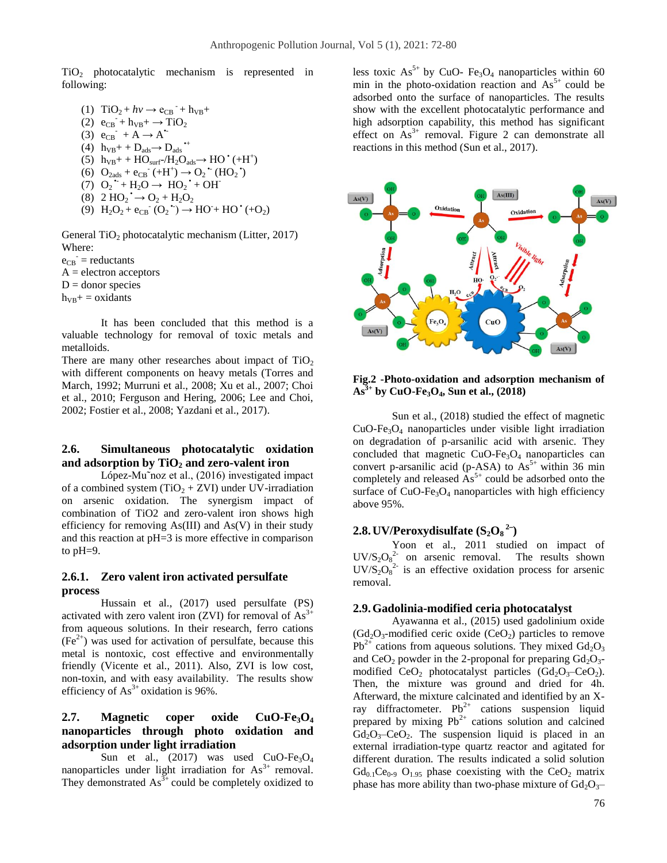TiO<sup>2</sup> photocatalytic mechanism is represented in following:

(1)  $TiO_2 + hv \rightarrow e_{CB} + h_{VB} +$  $(2)$   $e_{CB} + h_{VB} + \rightarrow TiO_2$ (3)  $e_{CB}$  + A  $\rightarrow$  A<sup>\*</sup> (4)  $h_{VB}$ + +  $D_{ads}$   $\rightarrow$   $D_{ads}$   $\rightarrow$ (5)  $h_{VB}$ + +  $HO_{surf}$ -/ $H_2O_{ads}$  $\rightarrow$   $HO^+(+H^+)$ (6)  $O_{2ads} + e_{CB} (+H^+) \rightarrow O_2 (HO_2)$ (7)  $O_2$  +  $H_2O \rightarrow HO_2$  + OH (8)  $2 \text{ HO}_2 \rightarrow O_2 + H_2O_2$ (9)  $H_2O_2 + e_{CB} (O_2^{\bullet}) \rightarrow HO^+ HO^{\bullet} (+O_2)$ 

General TiO<sub>2</sub> photocatalytic mechanism (Litter, 2017) Where:  $e_{CB}$  = reductants

 $A =$  electron acceptors  $D =$  donor species  $h_{VB}$ + = oxidants

It has been concluded that this method is a valuable technology for removal of toxic metals and metalloids.

There are many other researches about impact of  $TiO<sub>2</sub>$ with different components on heavy metals (Torres and March, 1992; Murruni et al., 2008; Xu et al., 2007; Choi et al., 2010; Ferguson and Hering, 2006; Lee and Choi, 2002; Fostier et al., 2008; Yazdani et al., 2017).

# **2.6. Simultaneous photocatalytic oxidation and adsorption by TiO<sup>2</sup> and zero-valent iron**

López-Mu˜noz et al., (2016) investigated impact of a combined system  $(TiO<sub>2</sub> + ZVI)$  under UV-irradiation on arsenic oxidation. The synergism impact of combination of TiO2 and zero-valent iron shows high efficiency for removing  $As(III)$  and  $As(V)$  in their study and this reaction at pH=3 is more effective in comparison to pH=9.

### **2.6.1. Zero valent iron activated persulfate process**

Hussain et al., (2017) used persulfate (PS) activated with zero valent iron (ZVI) for removal of  $As<sup>3+</sup>$ from aqueous solutions. In their research, ferro cations  $(Fe<sup>2+</sup>)$  was used for activation of persulfate, because this metal is nontoxic, cost effective and environmentally friendly (Vicente et al., 2011). Also, ZVI is low cost, non-toxin, and with easy availability. The results show efficiency of  $As<sup>3+</sup>$  oxidation is 96%.

# **2.7. Magnetic coper oxide CuO-Fe3O<sup>4</sup> nanoparticles through photo oxidation and adsorption under light irradiation**

Sun et al.,  $(2017)$  was used CuO-Fe<sub>3</sub>O<sub>4</sub> nanoparticles under light irradiation for  $As<sup>3+</sup>$  removal. They demonstrated  $As^{3+}$  could be completely oxidized to less toxic  $As^{5+}$  by CuO- Fe<sub>3</sub>O<sub>4</sub> nanoparticles within 60 min in the photo-oxidation reaction and  $As<sup>5+</sup>$  could be adsorbed onto the surface of nanoparticles. The results show with the excellent photocatalytic performance and high adsorption capability, this method has significant effect on  $As^{3+}$  removal. Figure 2 can demonstrate all reactions in this method (Sun et al., 2017).



**Fig.2 -Photo-oxidation and adsorption mechanism of As3+ by CuO-Fe3O4, Sun et al., (2018)**

Sun et al., (2018) studied the effect of magnetic  $CuO-Fe<sub>3</sub>O<sub>4</sub>$  nanoparticles under visible light irradiation on degradation of p-arsanilic acid with arsenic. They concluded that magnetic  $CuO-Fe<sub>3</sub>O<sub>4</sub>$  nanoparticles can convert p-arsanilic acid (p-ASA) to  $As<sup>5+</sup>$  within 36 min completely and released  $As<sup>5+</sup>$  could be adsorbed onto the surface of  $CuO-Fe<sub>3</sub>O<sub>4</sub>$  nanoparticles with high efficiency above 95%.

# **2.8.UV/Peroxydisulfate (S2O<sup>8</sup> 2**− **)**

Yoon et al., 2011 studied on impact of  $UV/S_2O_8^2$  on arsenic removal. The results shown  $UV/S_2O_8^{2-}$  is an effective oxidation process for arsenic removal.

### **2.9.Gadolinia-modified ceria photocatalyst**

Ayawanna et al., (2015) used gadolinium oxide  $(Gd<sub>2</sub>O<sub>3</sub>$ -modified ceric oxide  $(CeO<sub>2</sub>)$  particles to remove  $Pb^{2+}$  cations from aqueous solutions. They mixed  $Gd_2O_3$ and  $CeO<sub>2</sub>$  powder in the 2-proponal for preparing  $Gd<sub>2</sub>O<sub>3</sub>$ modified  $CeO<sub>2</sub>$  photocatalyst particles  $(Gd<sub>2</sub>O<sub>3</sub>–CeO<sub>2</sub>)$ . Then, the mixture was ground and dried for 4h. Afterward, the mixture calcinated and identified by an Xray diffractometer.  $Pb^{2+}$  cations suspension liquid prepared by mixing  $Pb^{2+}$  cations solution and calcined  $Gd_2O_3-CeO_2$ . The suspension liquid is placed in an external irradiation-type quartz reactor and agitated for different duration. The results indicated a solid solution  $Gd_{0.1}Ce_{0.9}$   $O_{1.95}$  phase coexisting with the  $CeO<sub>2</sub>$  matrix phase has more ability than two-phase mixture of  $Gd_2O_3$ –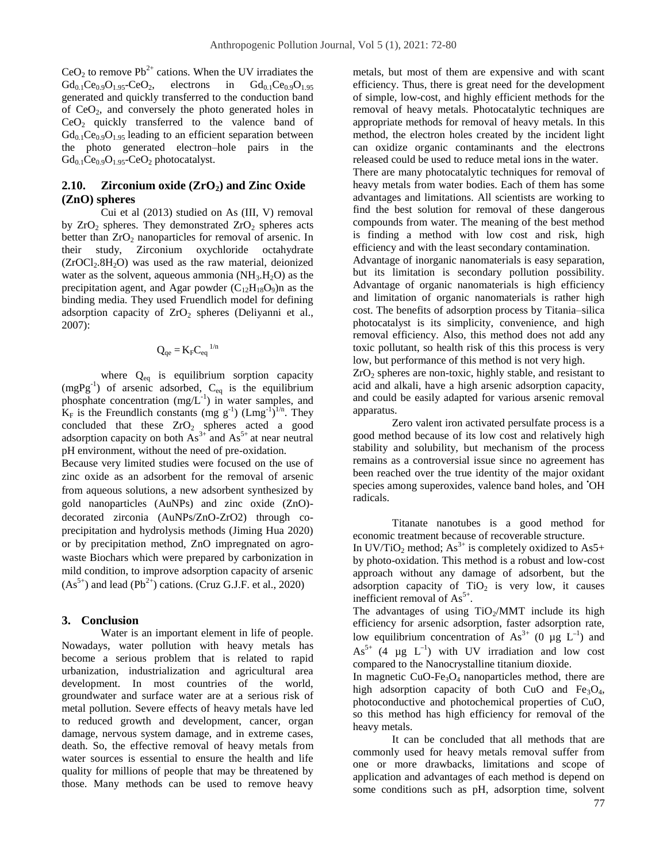$CeO<sub>2</sub>$  to remove Pb<sup>2+</sup> cations. When the UV irradiates the  $Gd_{0.1}Ce_{0.9}O_{1.95} - CeO_2$ , electrons in  $Gd_{0.1}Ce_{0.9}O_{1.95}$ generated and quickly transferred to the conduction band of  $CeO<sub>2</sub>$ , and conversely the photo generated holes in CeO<sup>2</sup> quickly transferred to the valence band of  $Gd_{0,1}Ce_{0,9}O_{1,95}$  leading to an efficient separation between the photo generated electron–hole pairs in the  $Gd_{0.1}Ce_{0.9}O_{1.95}$ -CeO<sub>2</sub> photocatalyst.

# **2.10. Zirconium oxide (ZrO2) and Zinc Oxide (ZnO) spheres**

Cui et al (2013) studied on As (III, V) removal by  $ZrO<sub>2</sub>$  spheres. They demonstrated  $ZrO<sub>2</sub>$  spheres acts better than  $ZrO<sub>2</sub>$  nanoparticles for removal of arsenic. In their study, Zirconium oxychloride octahydrate  $(ZrOCl<sub>2</sub>.8H<sub>2</sub>O)$  was used as the raw material, deionized water as the solvent, aqueous ammonia  $(NH<sub>3</sub>.H<sub>2</sub>O)$  as the precipitation agent, and Agar powder  $(C_{12}H_{18}O_9)$ n as the binding media. They used Fruendlich model for defining adsorption capacity of  $ZrO<sub>2</sub>$  spheres (Deliyanni et al., 2007):

$$
Q_{qe} = K_F C_{eq}^{-1/n}
$$

where  $Q_{eq}$  is equilibrium sorption capacity  $(mgPg^{-1})$  of arsenic adsorbed,  $C_{eq}$  is the equilibrium phosphate concentration  $(mg/L^{-1})$  in water samples, and  $K_F$  is the Freundlich constants (mg g<sup>-1</sup>) (Lmg<sup>-1</sup>)<sup>1/n</sup>. They concluded that these  $ZrO<sub>2</sub>$  spheres acted a good adsorption capacity on both  $As^{3+}$  and  $As^{5+}$  at near neutral pH environment, without the need of pre-oxidation.

Because very limited studies were focused on the use of zinc oxide as an adsorbent for the removal of arsenic from aqueous solutions, a new adsorbent synthesized by gold nanoparticles (AuNPs) and zinc oxide (ZnO) decorated zirconia (AuNPs/ZnO-ZrO2) through coprecipitation and hydrolysis methods (Jiming Hua 2020) or by precipitation method, ZnO impregnated on agrowaste Biochars which were prepared by carbonization in mild condition, to improve adsorption capacity of arsenic  $(As<sup>5+</sup>)$  and lead  $(Pb<sup>2+</sup>)$  cations. (Cruz G.J.F. et al., 2020)

#### **3. Conclusion**

Water is an important element in life of people. Nowadays, water pollution with heavy metals has become a serious problem that is related to rapid urbanization, industrialization and agricultural area development. In most countries of the world, groundwater and surface water are at a serious risk of metal pollution. Severe effects of heavy metals have led to reduced growth and development, cancer, organ damage, nervous system damage, and in extreme cases, death. So, the effective removal of heavy metals from water sources is essential to ensure the health and life quality for millions of people that may be threatened by those. Many methods can be used to remove heavy metals, but most of them are expensive and with scant efficiency. Thus, there is great need for the development of simple, low-cost, and highly efficient methods for the removal of heavy metals. Photocatalytic techniques are appropriate methods for removal of heavy metals. In this method, the electron holes created by the incident light can oxidize organic contaminants and the electrons released could be used to reduce metal ions in the water. There are many photocatalytic techniques for removal of heavy metals from water bodies. Each of them has some advantages and limitations. All scientists are working to find the best solution for removal of these dangerous compounds from water. The meaning of the best method is finding a method with low cost and risk, high efficiency and with the least secondary contamination. Advantage of inorganic nanomaterials is easy separation, but its limitation is secondary pollution possibility. Advantage of organic nanomaterials is high efficiency and limitation of organic nanomaterials is rather high cost. The benefits of adsorption process by Titania–silica photocatalyst is its simplicity, convenience, and high removal efficiency. Also, this method does not add any toxic pollutant, so health risk of this this process is very low, but performance of this method is not very high.

 $ZrO<sub>2</sub>$  spheres are non-toxic, highly stable, and resistant to acid and alkali, have a high arsenic adsorption capacity, and could be easily adapted for various arsenic removal apparatus.

Zero valent iron activated persulfate process is a good method because of its low cost and relatively high stability and solubility, but mechanism of the process remains as a controversial issue since no agreement has been reached over the true identity of the major oxidant species among superoxides, valence band holes, and 'OH radicals.

Titanate nanotubes is a good method for economic treatment because of recoverable structure. In UV/TiO<sub>2</sub> method; As<sup>3+</sup> is completely oxidized to As5+ by photo-oxidation. This method is a robust and low-cost approach without any damage of adsorbent, but the adsorption capacity of  $TiO<sub>2</sub>$  is very low, it causes inefficient removal of  $As<sup>5+</sup>$ .

The advantages of using  $TiO<sub>2</sub>/MMT$  include its high efficiency for arsenic adsorption, faster adsorption rate, low equilibrium concentration of  $As^{3+}$  (0 µg  $L^{-1}$ ) and  $As<sup>5+</sup>$  (4 µg L<sup>-1</sup>) with UV irradiation and low cost compared to the Nanocrystalline titanium dioxide.

In magnetic  $CuO-Fe<sub>3</sub>O<sub>4</sub>$  nanoparticles method, there are high adsorption capacity of both CuO and  $Fe<sub>3</sub>O<sub>4</sub>$ , photoconductive and photochemical properties of CuO, so this method has high efficiency for removal of the heavy metals.

It can be concluded that all methods that are commonly used for heavy metals removal suffer from one or more drawbacks, limitations and scope of application and advantages of each method is depend on some conditions such as pH, adsorption time, solvent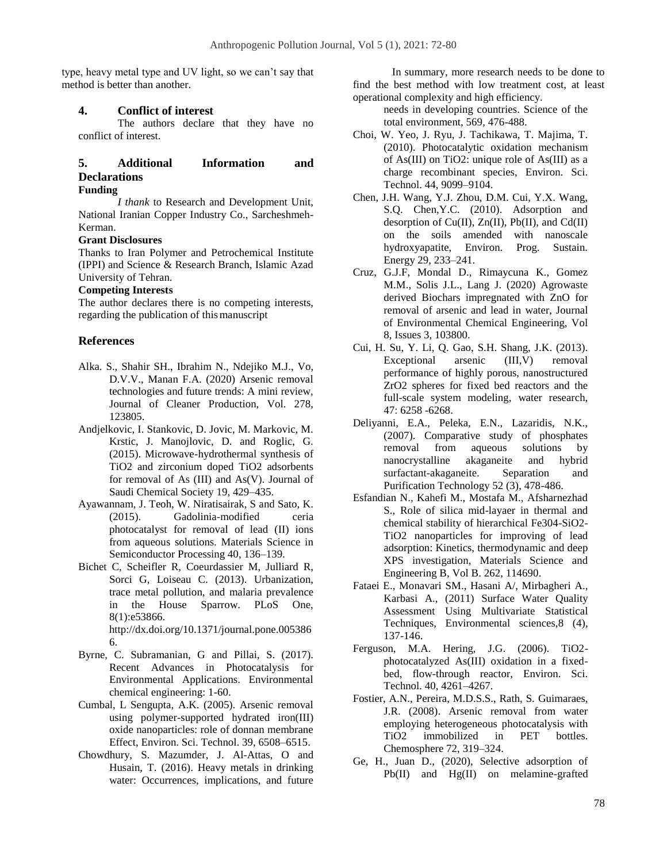type, heavy metal type and UV light, so we can't say that method is better than another.

#### **4. Conflict of interest**

The authors declare that they have no conflict of interest.

# **5. Additional Information and Declarations**

#### **Funding**

*I thank* to Research and Development Unit, National Iranian Copper Industry Co., Sarcheshmeh-Kerman.

### **Grant Disclosures**

Thanks to Iran Polymer and Petrochemical Institute (IPPI) and Science & Research Branch, Islamic Azad University of Tehran.

#### **Competing Interests**

The author declares there is no competing interests, regarding the publication of thismanuscript

### **References**

- Alka. S., Shahir SH., Ibrahim N., Ndejiko M.J., Vo, D.V.V., Manan F.A. (2020) Arsenic removal technologies and future trends: A mini review, Journal of Cleaner Production, Vol. 278, 123805.
- Andjelkovic, I. Stankovic, D. Jovic, M. Markovic, M. Krstic, J. Manojlovic, D. and Roglic, G. (2015). Microwave-hydrothermal synthesis of TiO2 and zirconium doped TiO2 adsorbents for removal of As (III) and As(V). Journal of Saudi Chemical Society 19, 429–435.
- Ayawannam, J. Teoh, W. Niratisairak, S and Sato, K. (2015). Gadolinia-modified ceria photocatalyst for removal of lead (II) ions from aqueous solutions. Materials Science in Semiconductor Processing 40, 136–139.
- Bichet C, Scheifler R, Coeurdassier M, Julliard R, Sorci G, Loiseau C. (2013). Urbanization, trace metal pollution, and malaria prevalence in the House Sparrow. PLoS One, 8(1):e53866. http://dx.doi.org/10.1371/journal.pone.005386 6.
- Byrne, C. Subramanian, G and Pillai, S. (2017). Recent Advances in Photocatalysis for Environmental Applications. Environmental chemical engineering: 1-60.
- Cumbal, L Sengupta, A.K. (2005). Arsenic removal using polymer-supported hydrated iron(III) oxide nanoparticles: role of donnan membrane Effect, Environ. Sci. Technol. 39, 6508–6515.
- [Chowdhury,](https://www.sciencedirect.com/science/article/pii/S0048969716313407#!) [S.](https://www.sciencedirect.com/science/article/pii/S0048969716313407#!) [Mazumder,](https://www.sciencedirect.com/science/article/pii/S0048969716313407#!) [J.](https://www.sciencedirect.com/science/article/pii/S0048969716313407#!) [Al-Attas,](https://www.sciencedirect.com/science/article/pii/S0048969716313407#!) [O](https://www.sciencedirect.com/science/article/pii/S0048969716313407#!) and [Husain, T.](https://www.sciencedirect.com/science/article/pii/S0048969716313407#!) (2016). Heavy metals in drinking water: Occurrences, implications, and future

In summary, more research needs to be done to find the best method with low treatment cost, at least operational complexity and high efficiency.

needs in developing countries. Science of the total environment, 569, 476-488.

- Choi, W. Yeo, J. Ryu, J. Tachikawa, T. Majima, T. (2010). Photocatalytic oxidation mechanism of As(III) on TiO2: unique role of As(III) as a charge recombinant species, Environ. Sci. Technol. 44, 9099–9104.
- Chen, J.H. Wang, Y.J. Zhou, D.M. Cui, Y.X. Wang, S.Q. Chen,Y.C. (2010). Adsorption and desorption of  $Cu(II)$ ,  $Zn(II)$ ,  $Pb(II)$ , and  $Cd(II)$ on the soils amended with nanoscale hydroxyapatite, Environ. Prog. Sustain. Energy 29, 233–241.
- Cruz, G.J.F, Mondal D., Rimaycuna K., Gomez M.M., Solis J.L., Lang J. (2020) Agrowaste derived Biochars impregnated with ZnO for removal of arsenic and lead in water, Journal of Environmental Chemical Engineering, Vol 8, Issues 3, 103800.
- Cui, H. Su, Y. Li, Q. Gao, S.H. Shang, J.K. (2013). Exceptional arsenic (III,V) removal performance of highly porous, nanostructured ZrO2 spheres for fixed bed reactors and the full-scale system modeling, water research, 47: 6258 -6268.
- Deliyanni, E.A., Peleka, E.N., Lazaridis, N.K., (2007). Comparative study of phosphates removal from aqueous solutions by nanocrystalline akaganeite and hybrid surfactant-akaganeite. Separation and Purification Technology 52 (3), 478-486.
- Esfandian N., Kahefi M., Mostafa M., Afsharnezhad S., Role of silica mid-layaer in thermal and chemical stability of hierarchical Fe304-SiO2- TiO2 nanoparticles for improving of lead adsorption: Kinetics, thermodynamic and deep XPS investigation, Materials Science and Engineering B, Vol B. 262, 114690.
- Fataei E., Monavari SM., Hasani A/, Mirbagheri A., Karbasi A., (2011) [Surface Water Quality](javascript:void(0))  [Assessment Using Multivariate Statistical](javascript:void(0))  [Techniques,](javascript:void(0)) Environmental sciences,8 (4), 137-146.
- Ferguson, M.A. Hering, J.G. (2006). TiO2 photocatalyzed As(III) oxidation in a fixedbed, flow-through reactor, Environ. Sci. Technol. 40, 4261–4267.
- Fostier, A.N., Pereira, M.D.S.S., Rath, S. Guimaraes, J.R. (2008). Arsenic removal from water employing heterogeneous photocatalysis with TiO2 immobilized in PET bottles. Chemosphere 72, 319–324.
- Ge, H., Juan D., (2020), Selective adsorption of Pb(II) and Hg(II) on melamine-grafted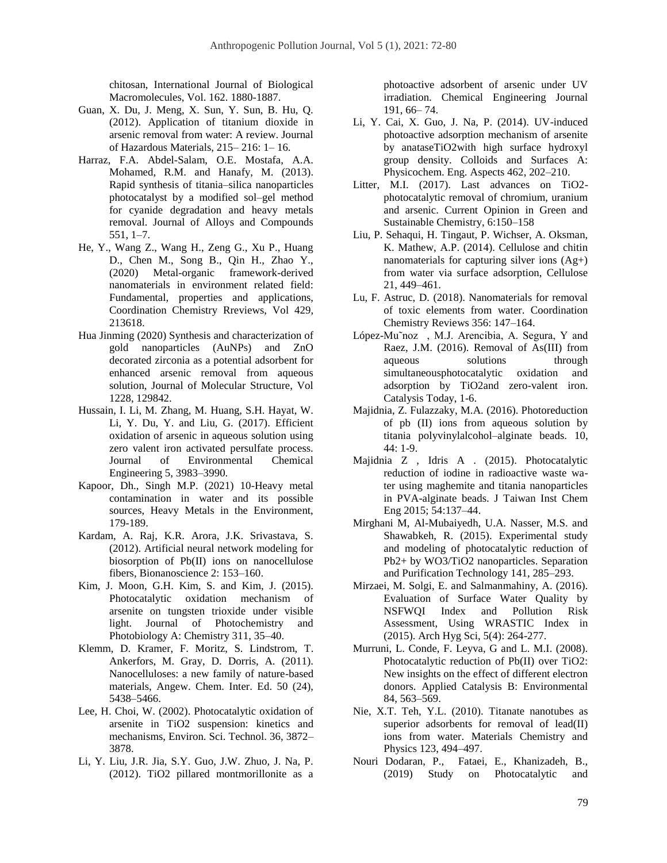chitosan, International Journal of Biological Macromolecules, Vol. 162. 1880-1887.

- Guan, X. Du, J. Meng, X. Sun, Y. Sun, B. Hu, Q. (2012). Application of titanium dioxide in arsenic removal from water: A review. Journal of Hazardous Materials, 215– 216: 1– 16.
- Harraz, F.A. Abdel-Salam, O.E. Mostafa, A.A. Mohamed, R.M. and Hanafy, M. (2013). Rapid synthesis of titania–silica nanoparticles photocatalyst by a modified sol–gel method for cyanide degradation and heavy metals removal. Journal of Alloys and Compounds 551, 1–7.
- He, Y., Wang Z., Wang H., Zeng G., Xu P., Huang D., Chen M., Song B., Qin H., Zhao Y., (2020) Metal-organic framework-derived nanomaterials in environment related field: Fundamental, properties and applications, Coordination Chemistry Rreviews, Vol 429, 213618.
- Hua Jinming (2020) Synthesis and characterization of gold nanoparticles (AuNPs) and ZnO decorated zirconia as a potential adsorbent for enhanced arsenic removal from aqueous solution, Journal of Molecular Structure, Vol 1228, 129842.
- Hussain, I. Li, M. Zhang, M. Huang, S.H. Hayat, W. Li, Y. Du, Y. and Liu, G. (2017). Efficient oxidation of arsenic in aqueous solution using zero valent iron activated persulfate process. Journal of Environmental Chemical Engineering 5, 3983–3990.
- Kapoor, Dh., Singh M.P. (2021) 10-Heavy metal contamination in water and its possible sources, Heavy Metals in the Environment, 179-189.
- Kardam, A. Raj, K.R. Arora, J.K. Srivastava, S. (2012). Artificial neural network modeling for biosorption of Pb(II) ions on nanocellulose fibers, Bionanoscience 2: 153–160.
- Kim, J. Moon, G.H. Kim, S. and Kim, J. (2015). Photocatalytic oxidation mechanism of arsenite on tungsten trioxide under visible light. Journal of Photochemistry and Photobiology A: Chemistry 311, 35–40.
- Klemm, D. Kramer, F. Moritz, S. Lindstrom, T. Ankerfors, M. Gray, D. Dorris, A. (2011). Nanocelluloses: a new family of nature-based materials, Angew. Chem. Inter. Ed. 50 (24), 5438–5466.
- Lee, H. Choi, W. (2002). Photocatalytic oxidation of arsenite in TiO2 suspension: kinetics and mechanisms, Environ. Sci. Technol. 36, 3872– 3878.
- Li, Y. Liu, J.R. Jia, S.Y. Guo, J.W. Zhuo, J. Na, P. (2012). TiO2 pillared montmorillonite as a

photoactive adsorbent of arsenic under UV irradiation. Chemical Engineering Journal 191, 66– 74.

- Li, Y. Cai, X. Guo, J. Na, P. (2014). UV-induced photoactive adsorption mechanism of arsenite by anataseTiO2with high surface hydroxyl group density. Colloids and Surfaces A: Physicochem. Eng. Aspects 462, 202–210.
- Litter, M.I. (2017). Last advances on TiO2 photocatalytic removal of chromium, uranium and arsenic. Current Opinion in Green and Sustainable Chemistry, 6:150–158
- Liu, P. Sehaqui, H. Tingaut, P. Wichser, A. Oksman, K. Mathew, A.P. (2014). Cellulose and chitin nanomaterials for capturing silver ions (Ag+) from water via surface adsorption, Cellulose 21, 449–461.
- Lu, F. Astruc, D. (2018). Nanomaterials for removal of toxic elements from water. Coordination Chemistry Reviews 356: 147–164.
- López-Mu˜noz , M.J. Arencibia, A. Segura, Y and Raez, J.M. (2016). Removal of As(III) from aqueous solutions through simultaneousphotocatalytic oxidation and adsorption by TiO2and zero-valent iron. Catalysis Today, 1-6.
- Majidnia, Z. Fulazzaky, M.A. (2016). Photoreduction of pb (II) ions from aqueous solution by titania polyvinylalcohol–alginate beads. 10, 44: 1-9.
- Majidnia Z , Idris A . (2015). Photocatalytic reduction of iodine in radioactive waste water using maghemite and titania nanoparticles in PVA-alginate beads. J Taiwan Inst Chem Eng 2015; 54:137–44.
- Mirghani M, Al-Mubaiyedh, U.A. Nasser, M.S. and Shawabkeh, R. (2015). Experimental study and modeling of photocatalytic reduction of Pb2+ by WO3/TiO2 nanoparticles. Separation and Purification Technology 141, 285–293.
- Mirzaei, M. Solgi, E. and Salmanmahiny, A. (2016). Evaluation of Surface Water Quality by NSFWQI Index and Pollution Risk Assessment, Using WRASTIC Index in (2015). Arch Hyg Sci, 5(4): 264-277.
- Murruni, L. Conde, F. Leyva, G and L. M.I. (2008). Photocatalytic reduction of Pb(II) over TiO2: New insights on the effect of different electron donors. Applied Catalysis B: Environmental 84, 563–569.
- Nie, X.T. Teh, Y.L. (2010). Titanate nanotubes as superior adsorbents for removal of lead(II) ions from water. Materials Chemistry and Physics 123, 494–497.
- Nouri Dodaran, P., Fataei, E., Khanizadeh, B., (2019) [Study on Photocatalytic and](javascript:void(0))